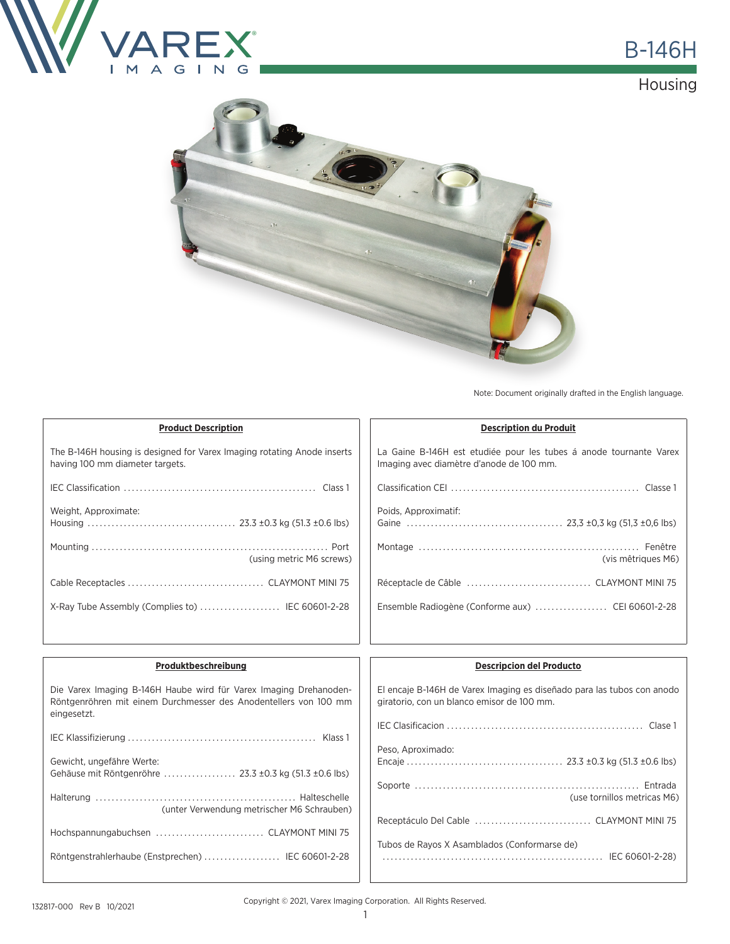

**Housing** 



Note: Document originally drafted in the English language.

| <b>Product Description</b>                                                                                                                           | <b>Description du Produit</b>                                                                                                                   |
|------------------------------------------------------------------------------------------------------------------------------------------------------|-------------------------------------------------------------------------------------------------------------------------------------------------|
| The B-146H housing is designed for Varex Imaging rotating Anode inserts<br>having 100 mm diameter targets.                                           | La Gaine B-146H est etudiée pour les tubes á anode tournante Varex<br>Imaging avec diamètre d'anode de 100 mm.                                  |
|                                                                                                                                                      |                                                                                                                                                 |
| Weight, Approximate:                                                                                                                                 | Poids, Approximatif:                                                                                                                            |
| (using metric M6 screws)                                                                                                                             | (vis mêtriques M6)                                                                                                                              |
|                                                                                                                                                      |                                                                                                                                                 |
| X-Ray Tube Assembly (Complies to)  IEC 60601-2-28                                                                                                    |                                                                                                                                                 |
|                                                                                                                                                      |                                                                                                                                                 |
| Produktbeschreibung                                                                                                                                  | <b>Descripcion del Producto</b>                                                                                                                 |
| Die Varex Imaging B-146H Haube wird für Varex Imaging Drehanoden-<br>Röntgenröhren mit einem Durchmesser des Anodentellers von 100 mm<br>eingesetzt. | El encaje B-146H de Varex Imaging es diseñado para las tubos con anodo<br>giratorio, con un blanco emisor de 100 mm.                            |
|                                                                                                                                                      | $\mathbf{F} \cap \mathbf{F} \cap \mathbf{F}$ and $\mathbf{F} \cap \mathbf{F}$ and $\mathbf{F} \cap \mathbf{F}$ and $\mathbf{F} \cap \mathbf{F}$ |

| Gewicht, ungefähre Werte:<br>Gehäuse mit Röntgenröhre  23.3 ±0.3 kg (51.3 ±0.6 lbs) |  |
|-------------------------------------------------------------------------------------|--|
| (unter Verwendung metrischer M6 Schrauben)                                          |  |
| Hochspannungabuchsen  CLAYMONT MINI 75                                              |  |
| Röntgenstrahlerhaube (Enstprechen)  IEC 60601-2-28                                  |  |
|                                                                                     |  |

| giratorio, con un blanco emisor de 100 mm.   |
|----------------------------------------------|
|                                              |
| Peso, Aproximado:                            |
| (use tornillos metricas M6)                  |
| Receptáculo Del Cable  CLAYMONT MINI 75      |
| Tubos de Rayos X Asamblados (Conformarse de) |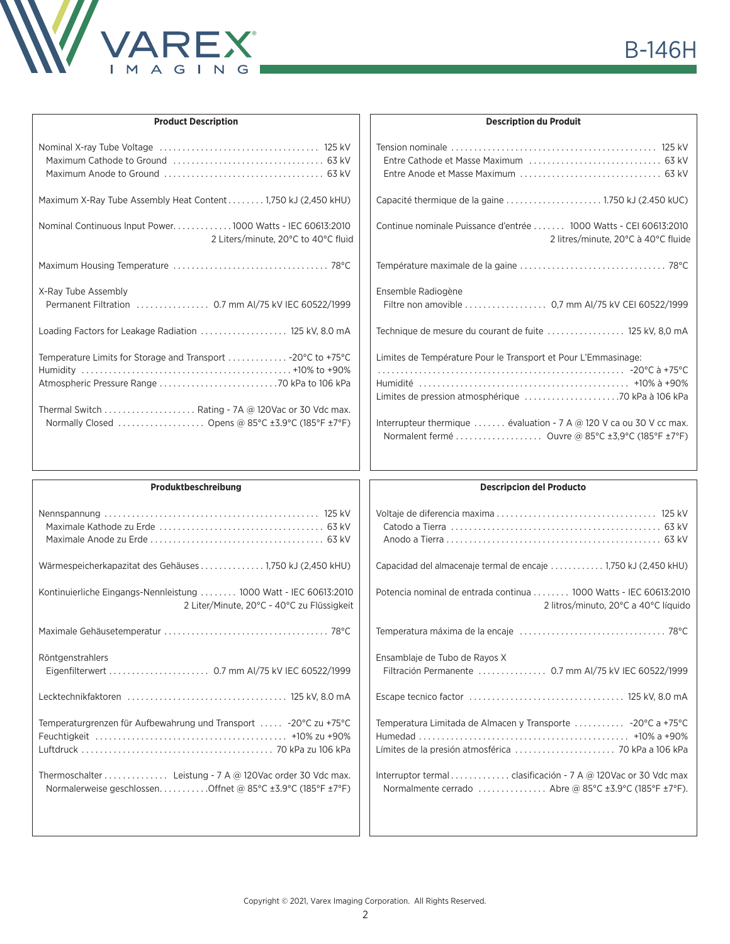

| <b>Product Description</b>                                                                                                                                              | <b>Description du Produit</b>                                                                                                         |
|-------------------------------------------------------------------------------------------------------------------------------------------------------------------------|---------------------------------------------------------------------------------------------------------------------------------------|
|                                                                                                                                                                         |                                                                                                                                       |
| Maximum X-Ray Tube Assembly Heat Content 1,750 kJ (2,450 kHU)                                                                                                           |                                                                                                                                       |
| Nominal Continuous Input Power1000 Watts - IEC 60613:2010<br>2 Liters/minute, 20°C to 40°C fluid                                                                        | Continue nominale Puissance d'entrée  1000 Watts - CEI 60613:2010<br>2 litres/minute, 20°C à 40°C fluide                              |
|                                                                                                                                                                         |                                                                                                                                       |
| X-Ray Tube Assembly                                                                                                                                                     | Ensemble Radiogène<br>Filtre non amovible 0,7 mm AI/75 kV CEI 60522/1999                                                              |
| Loading Factors for Leakage Radiation  125 kV, 8.0 mA                                                                                                                   | Technique de mesure du courant de fuite  125 kV, 8,0 mA                                                                               |
| Temperature Limits for Storage and Transport  -20°C to +75°C<br>Thermal Switch Rating - 7A @ 120Vac or 30 Vdc max.<br>Normally Closed  Opens @ 85°C ±3.9°C (185°F ±7°F) | Limites de Température Pour le Transport et Pour L'Emmasinage:<br>Interrupteur thermique  évaluation - 7 A @ 120 V ca ou 30 V cc max. |
|                                                                                                                                                                         |                                                                                                                                       |
| Produktbeschreibung                                                                                                                                                     | <b>Descripcion del Producto</b>                                                                                                       |
|                                                                                                                                                                         |                                                                                                                                       |
| Wärmespeicherkapazitat des Gehäuses 1,750 kJ (2,450 kHU)                                                                                                                | Capacidad del almacenaje termal de encaje  1,750 kJ (2,450 kHU)                                                                       |
| Kontinuierliche Eingangs-Nennleistung  1000 Watt - IEC 60613:2010<br>2 Liter/Minute, 20°C - 40°C zu Flüssigkeit                                                         | Potencia nominal de entrada continua  1000 Watts - IEC 60613:2010<br>2 litros/minuto, 20°C a 40°C líquido                             |
|                                                                                                                                                                         |                                                                                                                                       |
| Röntgenstrahlers                                                                                                                                                        | Ensamblaje de Tubo de Rayos X<br>Filtración Permanente  0.7 mm AI/75 kV IEC 60522/1999                                                |
|                                                                                                                                                                         |                                                                                                                                       |
| Temperaturgrenzen für Aufbewahrung und Transport  - 20°C zu +75°C                                                                                                       | Temperatura Limitada de Almacen y Transporte  - 20°C a +75°C                                                                          |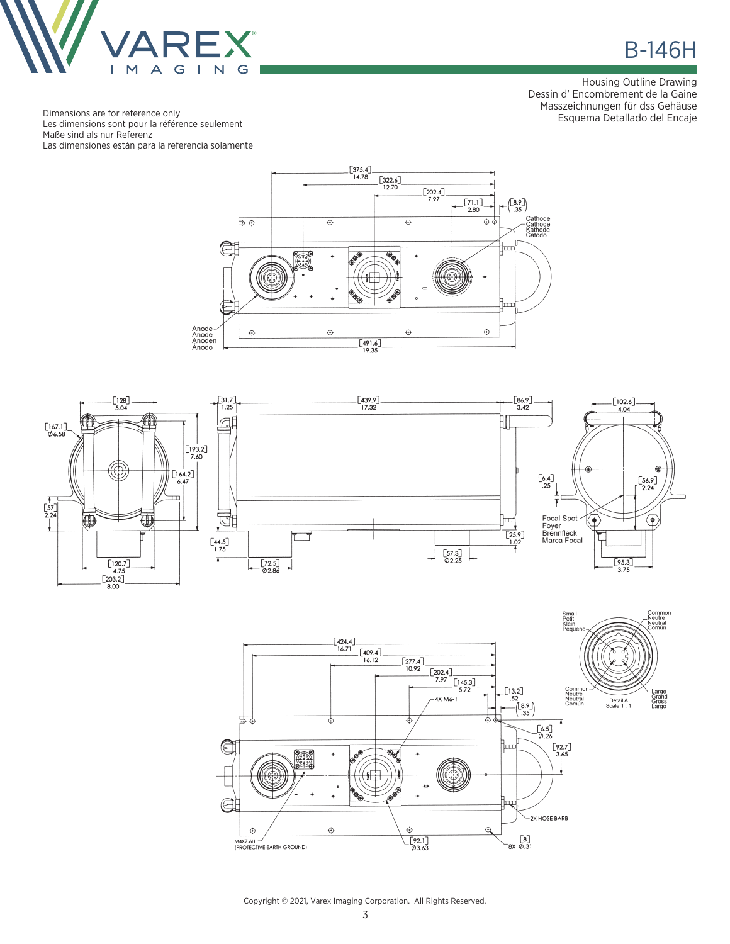

**B-146H** 

Housing Outline Drawing Dessin d' Encombrement de la Gaine Masszeichnungen für dss Gehäuse Esquema Detallado del Encaje

Dimensions are for reference only Les dimensions sont pour la référence seulement Maße sind als nur Referenz Las dimensiones están para la referencia solamente







Copyright © 2021, Varex Imaging Corporation. All Rights Reserved.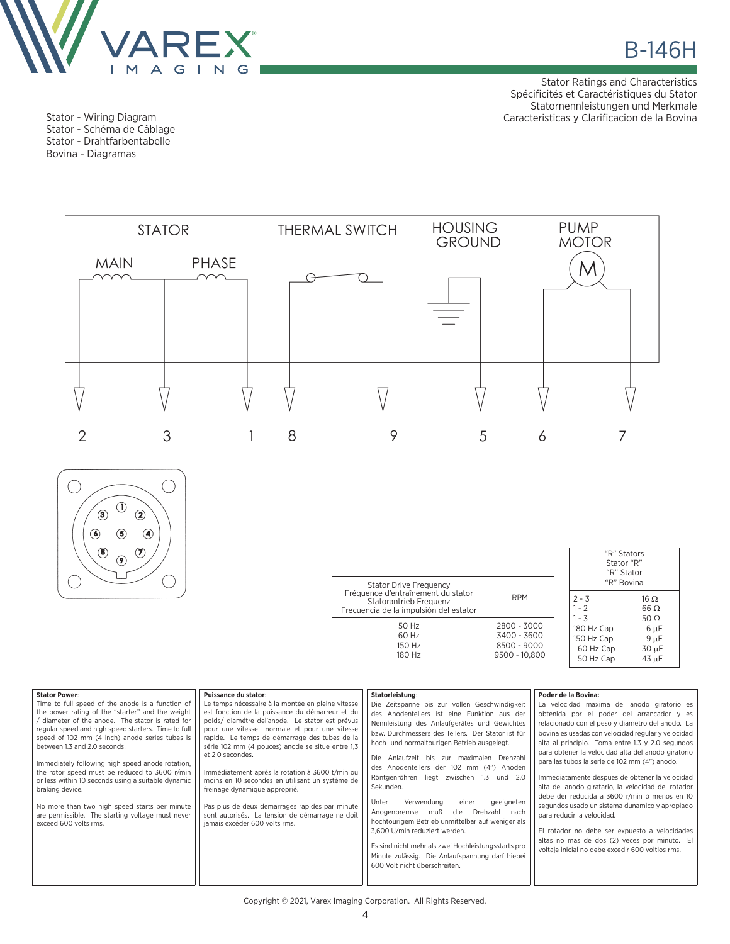

Stator - Wiring Diagram Stator - Schéma de Câblage Stator - Drahtfarbentabelle Bovina - Diagramas

Stator Ratings and Characteristics Spécificités et Caractéristiques du Stator Statornennleistungen und Merkmale Caracteristicas y Clarificacion de la Bovina



| $\mathbf 0$<br>$\circled{\scriptstyle 3}$     |
|-----------------------------------------------|
| $\circledbullet$<br>$\circledS$<br>❹          |
| $\circledast$<br>7)<br>$\widehat{\mathbf{S}}$ |
|                                               |

| <b>Stator Drive Frequency</b>                                                                          |                                                            | "R" Stators<br>Stator "R"<br>"R" Stator<br>"R" Bovina         |                                                    |
|--------------------------------------------------------------------------------------------------------|------------------------------------------------------------|---------------------------------------------------------------|----------------------------------------------------|
| Fréquence d'entraînement du stator<br>Statorantrieb Frequenz<br>Frecuencia de la impulsión del estator | <b>RPM</b>                                                 | $2 - 3$<br>$1 - 2$                                            | 16 $\,\Omega$<br>$66 \Omega$                       |
| 50 Hz<br>60 Hz<br>150 Hz<br>180 Hz                                                                     | 2800 - 3000<br>3400 - 3600<br>8500 - 9000<br>9500 - 10.800 | $1 - 3$<br>180 Hz Cap<br>150 Hz Cap<br>60 Hz Cap<br>50 Hz Cap | 50 $\Omega$<br>6 µF<br>$9 \mu F$<br>30 µF<br>43 µF |

| <b>Stator Power:</b><br>Time to full speed of the anode is a function of<br>the power rating of the "starter" and the weight<br>diameter of the anode. The stator is rated for<br>regular speed and high speed starters. Time to full<br>speed of 102 mm (4 inch) anode series tubes is<br>between 1.3 and 2.0 seconds.<br>Immediately following high speed anode rotation,<br>the rotor speed must be reduced to 3600 r/min<br>or less within 10 seconds using a suitable dynamic<br>braking device.<br>No more than two high speed starts per minute<br>are permissible. The starting voltage must never<br>exceed 600 volts rms. | Puissance du stator:<br>Le temps nécessaire à la montée en pleine vitesse<br>est fonction de la puissance du démarreur et du<br>poids/ diamétre del'anode. Le stator est prévus<br>pour une vitesse normale et pour une vitesse<br>rapide. Le temps de démarrage des tubes de la<br>série 102 mm (4 pouces) anode se situe entre 1,3<br>et 2.0 secondes.<br>Immédiatement aprés la rotation à 3600 t/min ou<br>moins en 10 secondes en utilisant un système de<br>freinage dynamique approprié.<br>Pas plus de deux demarrages rapides par minute<br>sont autorisés. La tension de démarrage ne doit<br>jamais excéder 600 volts rms. | Statorleistung:<br>Die Zeitspanne bis zur vollen Geschwindigkeit<br>des Anodentellers ist eine Funktion aus der<br>Nennleistung des Anlaufgerätes und Gewichtes<br>bzw. Durchmessers des Tellers. Der Stator ist für<br>hoch- und normaltourigen Betrieb ausgelegt.<br>Die Anlaufzeit bis zur maximalen Drehzahl<br>des Anodentellers der 102 mm (4") Anoden<br>Röntgenröhren liegt zwischen 1.3 und 2.0<br>Sekunden.<br>Unter<br>Verwendung<br>geeigneten<br>einer<br>Drehzahl nach<br>Anogenbremse<br>muß<br>die<br>hochtourigem Betrieb unmittelbar auf weniger als<br>3,600 U/min reduziert werden.<br>Es sind nicht mehr als zwei Hochleistungsstarts pro<br>Minute zulässig. Die Anlaufspannung darf hiebei<br>600 Volt nicht überschreiten. | Poder de la Bovina:<br>La velocidad maxima del anodo giratorio es<br>obtenida por el poder del arrancador y es<br>relacionado con el peso y diametro del anodo. La<br>bovina es usadas con velocidad regular y velocidad<br>alta al principio. Toma entre 1.3 y 2.0 segundos<br>para obtener la velocidad alta del anodo giratorio<br>para las tubos la serie de 102 mm (4") anodo.<br>Immediatamente despues de obtener la velocidad<br>alta del anodo giratario, la velocidad del rotador<br>debe der reducida a 3600 r/min ó menos en 10<br>segundos usado un sistema dunamico y apropiado<br>para reducir la velocidad.<br>El rotador no debe ser expuesto a velocidades<br>altas no mas de dos (2) veces por minuto. El<br>voltaje inicial no debe excedir 600 voltios rms. |
|-------------------------------------------------------------------------------------------------------------------------------------------------------------------------------------------------------------------------------------------------------------------------------------------------------------------------------------------------------------------------------------------------------------------------------------------------------------------------------------------------------------------------------------------------------------------------------------------------------------------------------------|---------------------------------------------------------------------------------------------------------------------------------------------------------------------------------------------------------------------------------------------------------------------------------------------------------------------------------------------------------------------------------------------------------------------------------------------------------------------------------------------------------------------------------------------------------------------------------------------------------------------------------------|----------------------------------------------------------------------------------------------------------------------------------------------------------------------------------------------------------------------------------------------------------------------------------------------------------------------------------------------------------------------------------------------------------------------------------------------------------------------------------------------------------------------------------------------------------------------------------------------------------------------------------------------------------------------------------------------------------------------------------------------------|----------------------------------------------------------------------------------------------------------------------------------------------------------------------------------------------------------------------------------------------------------------------------------------------------------------------------------------------------------------------------------------------------------------------------------------------------------------------------------------------------------------------------------------------------------------------------------------------------------------------------------------------------------------------------------------------------------------------------------------------------------------------------------|
|                                                                                                                                                                                                                                                                                                                                                                                                                                                                                                                                                                                                                                     |                                                                                                                                                                                                                                                                                                                                                                                                                                                                                                                                                                                                                                       |                                                                                                                                                                                                                                                                                                                                                                                                                                                                                                                                                                                                                                                                                                                                                    |                                                                                                                                                                                                                                                                                                                                                                                                                                                                                                                                                                                                                                                                                                                                                                                  |

Copyright © 2021, Varex Imaging Corporation. All Rights Reserved.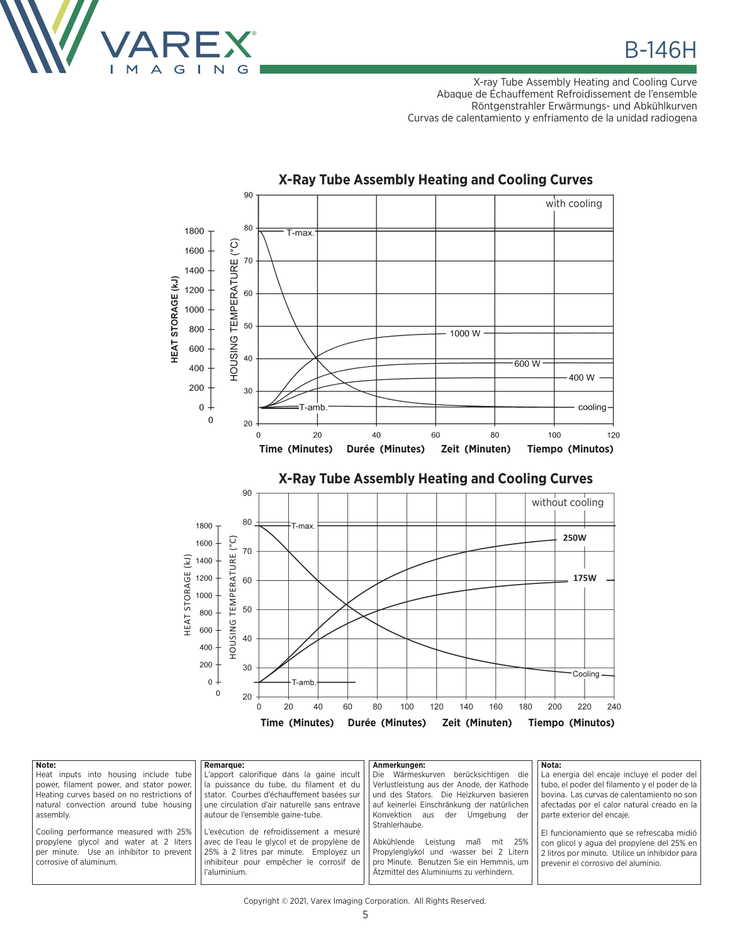

X-ray Tube Assembly Heating and Cooling Curve Abaque de Échauffement Refroidissement de l'ensemble Röntgenstrahler Erwärmungs- und Abkühlkurven Curvas de calentamiento y enfriamento de la unidad radiogena



| Note:                                      | <b>Remarque:</b>                             | Anmerkungen:                                | Nota:                                           |
|--------------------------------------------|----------------------------------------------|---------------------------------------------|-------------------------------------------------|
| Heat inputs into housing include tube      | L'apport calorifique dans la gaine incult    | Die Wärmeskurven berücksichtigen die        | La energia del encaje incluye el poder del      |
| power, filament power, and stator power.   | la puissance du tube, du filament et du      | Verlustleistung aus der Anode, der Kathode  | tubo, el poder del filamento y el poder de la l |
| Heating curves based on no restrictions of | stator. Courbes d'échauffement basées sur    | und des Stators. Die Heizkurven basieren    | bovina. Las curvas de calentamiento no son      |
| natural convection around tube housing     | une circulation d'air naturelle sans entrave | auf keinerlei Einschränkung der natürlichen | afectadas por el calor natural creado en la     |
| assembly.                                  | autour de l'ensemble gaine-tube.             | Konvektion aus<br>der<br>Umgebung<br>der    | parte exterior del encaie.                      |
|                                            |                                              | Strahlerhaube.                              |                                                 |
| Cooling performance measured with 25%      | L'exécution de refroidissement a mesuré      |                                             | El funcionamiento que se refrescaba midió       |
| propylene gives and water at 2 liters      | avec de l'eau le glycol et de propylène de   | Abkühlende<br>Leistung maß<br>mit 25%       | con glicol y agua del propylene del 25% en l    |
| per minute. Use an inhibitor to prevent    | 25% à 2 litres par minute. Employez un       | Propylenglykol und -wasser bei 2 Litern     | 2 litros por minuto. Utilice un inhibidor para  |
| corrosive of aluminum.                     | inhibiteur pour empêcher le corrosif de      | pro Minute. Benutzen Sie ein Hemmnis, um    | prevenir el corrosivo del aluminio.             |
|                                            | l'aluminium.                                 | Ätzmittel des Aluminiums zu verhindern.     |                                                 |
|                                            |                                              |                                             |                                                 |

## **X-Ray Tube Assembly Heating and Cooling Curves**

Copyright © 2021, Varex Imaging Corporation. All Rights Reserved.